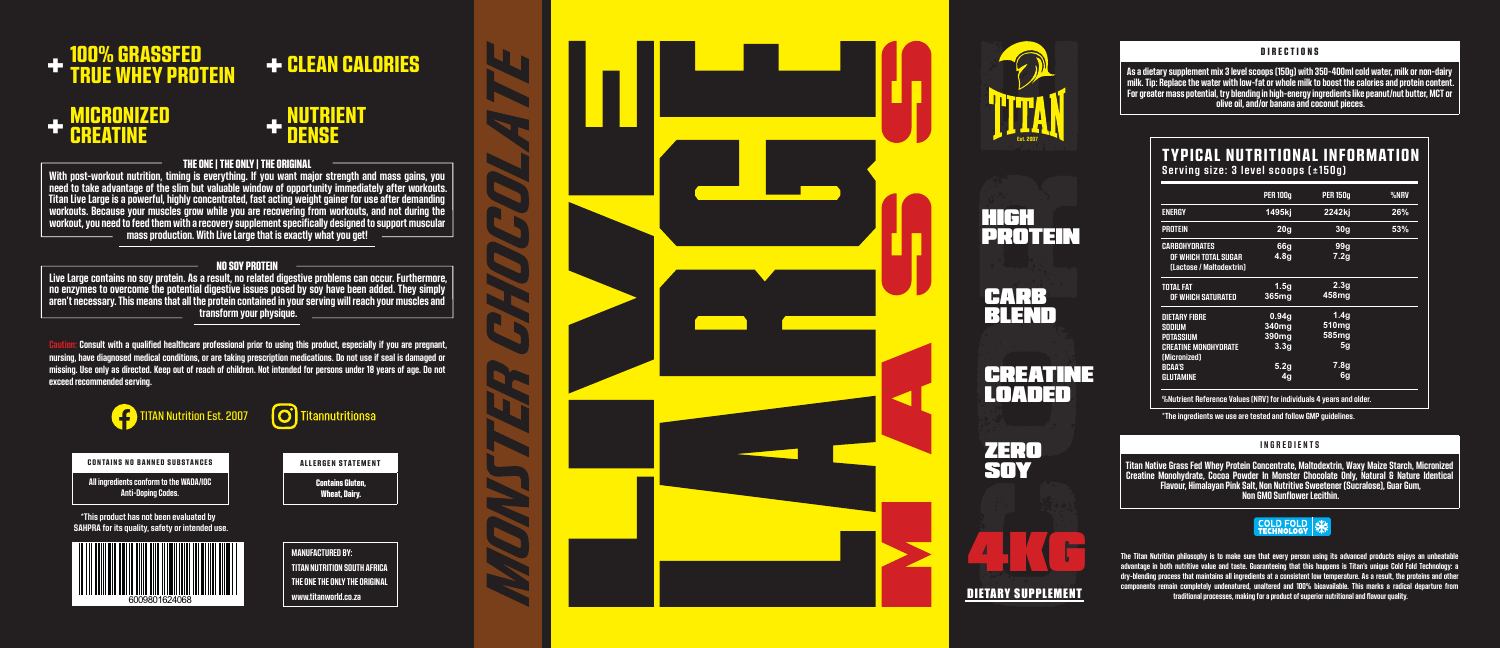

#### **DIRECTIONS**

**Est. 2007**

**As a dietary supplement mix 3 level scoops (150g) with 350-400ml cold water, milk or non-dairy milk. Tip: Replace the water with low-fat or whole milk to boost the calories and protein content. For greater mass potential, try blending in high-energy ingredients like peanut/nut butter, MCT or olive oil, and/or banana and coconut pieces.**

**The Titan Nutrition philosophy is to make sure that every person using its advanced products enjoys an unbeatable advantage in both nutritive value and taste. Guaranteeing that this happens is Titan's unique Cold Fold Technology: a dry-blending process that maintains all ingredients at a consistent low temperature. As a result, the proteins and other components remain completely undenatured, unaltered and 100% bioavailable. This marks a radical departure from traditional processes, making for a product of superior nutritional and flavour quality.**

## MICRONIZED **CREATINE** +

### NUTRIENT **DENSE** +



### THE ONE | THE ONLY | THE ORIGINAL

**n:** Consult with a qualified healthcare professional prior to using this product, especially if you are pregnant, **nursing, have diagnosed medical conditions, or are taking prescription medications. Do not use if seal is damaged or missing. Use only as directed. Keep out of reach of children. Not intended for persons under 18 years of age. Do not exceed recommended serving.**



**With post-workout nutrition, timing is everything. If you want major strength and mass gains, you need to take advantage of the slim but valuable window of opportunity immediately after workouts. Titan Live Large is a powerful, highly concentrated, fast acting weight gainer for use after demanding workouts. Because your muscles grow while you are recovering from workouts, and not during the workout, you need to feed them with a recovery supplement specifically designed to support muscular mass production. With Live Large that is exactly what you get!**

#### NO SOY PROTEIN

**Live Large contains no soy protein. As a result, no related digestive problems can occur. Furthermore, no enzymes to overcome the potential digestive issues posed by soy have been added. They simply aren't necessary. This means that all the protein contained in your serving will reach your muscles and transform your physique.**

## TYPICAL NUTRITIONAL INFORMATION **Serving size: 3 level scoops (±150g)**

**%Nutrient Reference Values (NRV) for individuals 4 years and older.**

|                                                                                                                                        | <b>PER 100g</b>                                                                   | <b>PER 150g</b>                                                                | %NRV |
|----------------------------------------------------------------------------------------------------------------------------------------|-----------------------------------------------------------------------------------|--------------------------------------------------------------------------------|------|
| <b>ENERGY</b>                                                                                                                          | 1495kj                                                                            | 2242kj                                                                         | 26%  |
| <b>PROTEIN</b>                                                                                                                         | 20 <sub>g</sub>                                                                   | 30 <sub>q</sub>                                                                | 53%  |
| <b>CARBOHYDRATES</b><br>OF WHICH TOTAL SUGAR<br>(Lactose / Maltodextrin)                                                               | 66q<br>4.8q                                                                       | 99 <sub>g</sub><br>7.2g                                                        |      |
| <b>TOTAL FAT</b><br>OF WHICH SATURATED                                                                                                 | 1.5q<br>365mg                                                                     | 2.3 <sub>g</sub><br>458mg                                                      |      |
| <b>DIETARY FIBRE</b><br>SODIUM<br><b>POTASSIUM</b><br><b>CREATINE MONOHYDRATE</b><br>(Micronized)<br><b>BCAA'S</b><br><b>GLUTAMINE</b> | 0.94q<br>340 <sub>mg</sub><br>390 <sub>mg</sub><br>3.3q<br>5.2g<br>4 <sub>q</sub> | 1.4 <sub>q</sub><br>510mg<br>585mg<br>5 <sub>g</sub><br>7.8 <sub>g</sub><br>6g |      |

**\*The ingredients we use are tested and follow GMP guidelines.**

#### **INGREDIENTS**

**Titan Native Grass Fed Whey Protein Concentrate, Maltodextrin, Waxy Maize Starch, Micronized Creatine Monohydrate, Cocoa Powder In Monster Chocolate Only, Natural & Nature Identical Flavour, Himalayan Pink Salt, Non Nutritive Sweetener (Sucralose), Guar Gum, Non GMO Sunflower Lecithin.**

# COLD FOLD